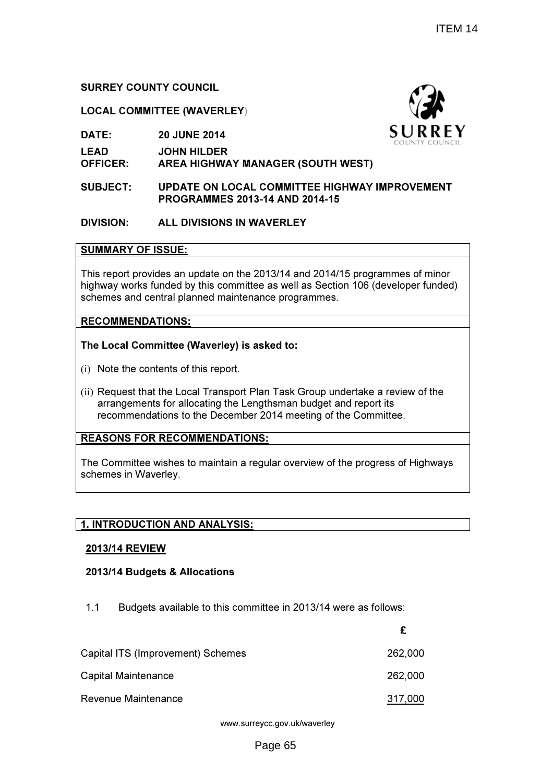# SURREY COUNTY COUNCIL

# LOCAL COMMITTEE (WAVERLEY)

DATE: 20 JUNE 2014

LEAD JOHN HILDER

OFFICER: AREA HIGHWAY MANAGER (SOUTH WEST)

## SUBJECT: UPDATE ON LOCAL COMMITTEE HIGHWAY IMPROVEMENT PROGRAMME PROGRAMMES 2013-14 AND 2014-15

# DIVISION: ALL DIVISIONS IN WAVERLEY

## SUMMARY OF ISSUE:

This report provides an update on the 2013/14 and 2014/15 programmes of minor highway works funded by this committee as well as Section 106 (developer funded) schemes and central planned maintenance programmes. ommittee as well as Section 106 (developer funde<br>naintenance programmes.<br>ley) is asked to:<br>port.<br>sport Plan Task Group undertake a review of the

# RECOMMENDATIONS:

# The Local Committee (Waverley) is asked to:

- (i) Note the contents of this report.
- (ii) Request that the Local Transport Plan Task Group undertake a review of the arrangements for allocating the Lengthsman budget and report its recommendations to the December 2014 meeting of the Committee.

# REASONS FOR RECOMMENDATIONS:

The Committee wishes to maintain a regular overview of the progress of Highways schemes in Waverley.

# <u>1. INTRODUCTION AND ANALYSIS:</u>

# 2013/14 REVIEW

# 2013/14 Budgets & Allocations

1.1 Budgets available to this committee in 2013/14 were as follows:

|                                   | £       |
|-----------------------------------|---------|
| Capital ITS (Improvement) Schemes | 262,000 |
| Capital Maintenance               | 262,000 |
| Revenue Maintenance               | 317,000 |

www.surreycc.gov.uk/waverley

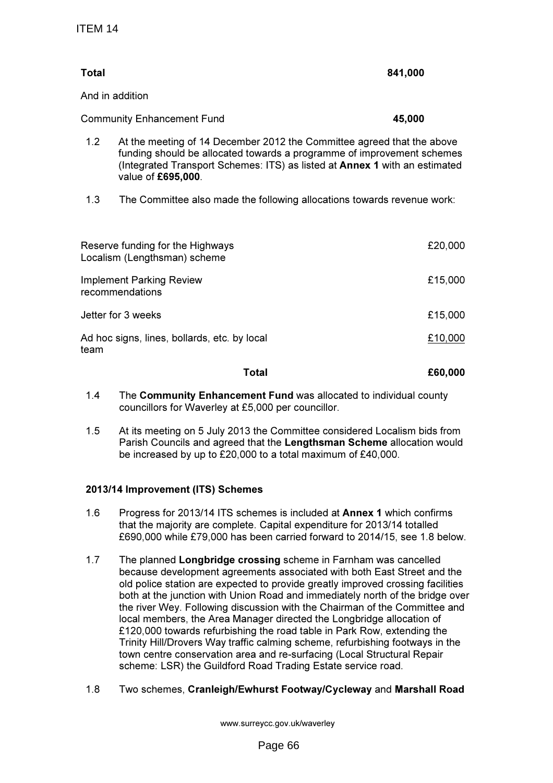| <b>Total</b> |                                                                                                                                                                                                                                                      | 841,000 |
|--------------|------------------------------------------------------------------------------------------------------------------------------------------------------------------------------------------------------------------------------------------------------|---------|
|              | And in addition                                                                                                                                                                                                                                      |         |
|              | <b>Community Enhancement Fund</b>                                                                                                                                                                                                                    | 45,000  |
| 1.2          | At the meeting of 14 December 2012 the Committee agreed that the above<br>funding should be allocated towards a programme of improvement schemes<br>(Integrated Transport Schemes: ITS) as listed at Annex 1 with an estimated<br>value of £695,000. |         |
| 1.3          | The Committee also made the following allocations towards revenue work:                                                                                                                                                                              |         |
|              | Reserve funding for the Highways<br>Localism (Lengthsman) scheme                                                                                                                                                                                     | £20,000 |

| Localism (Lengthsman) scheme                         |         |
|------------------------------------------------------|---------|
| <b>Implement Parking Review</b><br>recommendations   | £15,000 |
| Jetter for 3 weeks                                   | £15,000 |
| Ad hoc signs, lines, bollards, etc. by local<br>team | £10,000 |

## Total £60,000

- 1.4 The Community Enhancement Fund was allocated to individual county councillors for Waverley at £5,000 per councillor.
- 1.5 At its meeting on 5 July 2013 the Committee considered Localism bids from Parish Councils and agreed that the Lengthsman Scheme allocation would be increased by up to £20,000 to a total maximum of £40,000.

# 2013/14 Improvement (ITS) Schemes

- 1.6 Progress for 2013/14 ITS schemes is included at Annex 1 which confirms that the majority are complete. Capital expenditure for 2013/14 totalled £690,000 while £79,000 has been carried forward to 2014/15, see 1.8 below.
- 1.7 The planned Longbridge crossing scheme in Farnham was cancelled because development agreements associated with both East Street and the old police station are expected to provide greatly improved crossing facilities both at the junction with Union Road and immediately north of the bridge over the river Wey. Following discussion with the Chairman of the Committee and local members, the Area Manager directed the Longbridge allocation of £120,000 towards refurbishing the road table in Park Row, extending the Trinity Hill/Drovers Way traffic calming scheme, refurbishing footways in the town centre conservation area and re-surfacing (Local Structural Repair scheme: LSR) the Guildford Road Trading Estate service road.

# 1.8 Two schemes, Cranleigh/Ewhurst Footway/Cycleway and Marshall Road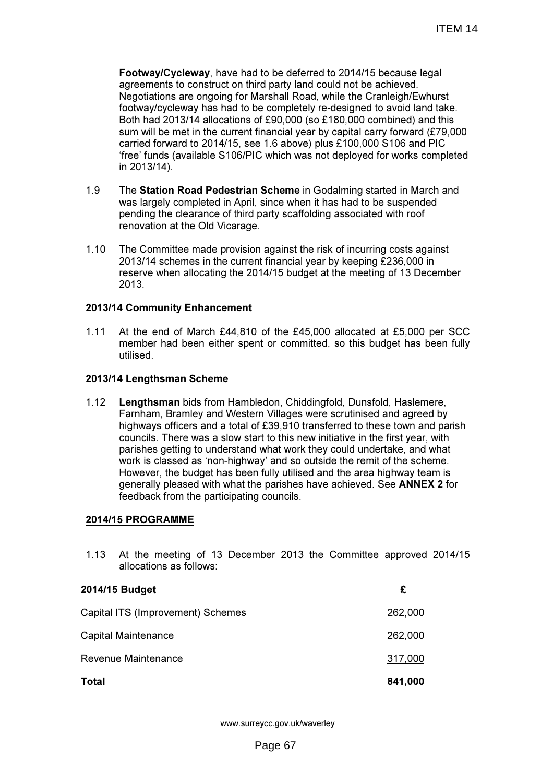Footway/Cycleway, have had to be deferred to 2014/15 because legal agreements to construct on third party land could not be achieved. Negotiations are ongoing for Marshall Road, while the Cranleigh/Ewhurst footway/cycleway has had to be completely re-designed to avoid land take. Both had 2013/14 allocations of £90,000 (so £180,000 combined) and this sum will be met in the current financial year by capital carry forward (£79,000 carried forward to 2014/15, see 1.6 above) plus £100,000 S106 and PIC 'free' funds (available S106/PIC which was not deployed for works completed in 2013/14).

- 1.9 The Station Road Pedestrian Scheme in Godalming started in March and was largely completed in April, since when it has had to be suspended pending the clearance of third party scaffolding associated with roof renovation at the Old Vicarage.
- 1.10 The Committee made provision against the risk of incurring costs against 2013/14 schemes in the current financial year by keeping £236,000 in reserve when allocating the 2014/15 budget at the meeting of 13 December 2013.

## 2013/14 Community Enhancement

1.11 At the end of March £44,810 of the £45,000 allocated at £5,000 per SCC member had been either spent or committed, so this budget has been fully utilised.

## 2013/14 Lengthsman Scheme

1.12 Lengthsman bids from Hambledon, Chiddingfold, Dunsfold, Haslemere, Farnham, Bramley and Western Villages were scrutinised and agreed by highways officers and a total of £39,910 transferred to these town and parish councils. There was a slow start to this new initiative in the first year, with parishes getting to understand what work they could undertake, and what work is classed as 'non-highway' and so outside the remit of the scheme. However, the budget has been fully utilised and the area highway team is generally pleased with what the parishes have achieved. See ANNEX 2 for feedback from the participating councils.

#### 2014/15 PROGRAMME

1.13 At the meeting of 13 December 2013 the Committee approved 2014/15 allocations as follows:

| 2014/15 Budget                    | £       |
|-----------------------------------|---------|
| Capital ITS (Improvement) Schemes | 262,000 |
| Capital Maintenance               | 262,000 |
| Revenue Maintenance               | 317,000 |
| <b>Total</b>                      | 841,000 |

www.surreycc.gov.uk/waverley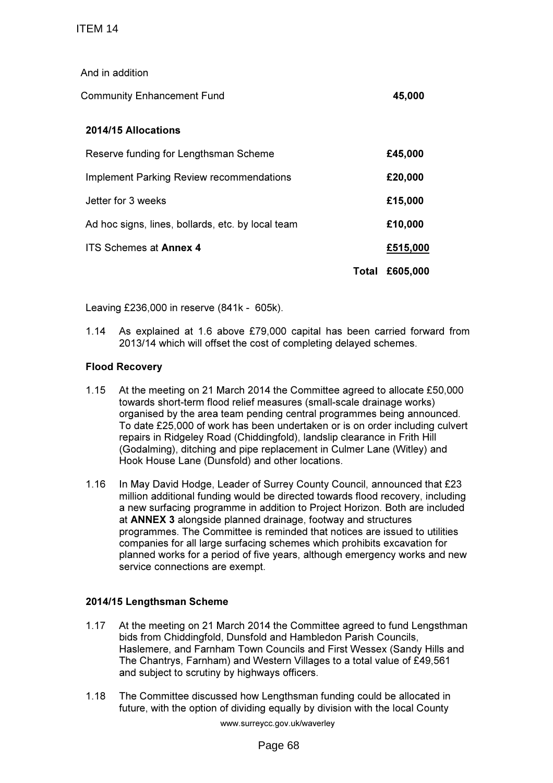And in addition

| <b>Community Enhancement Fund</b>                 | 45,000  |
|---------------------------------------------------|---------|
| <b>2014/15 Allocations</b>                        |         |
| Reserve funding for Lengthsman Scheme             | £45,000 |
| <b>Implement Parking Review recommendations</b>   | £20,000 |
| Jetter for 3 weeks                                | £15,000 |
| Ad hoc signs, lines, bollards, etc. by local team | £10,000 |

ITS Schemes at Annex 4 **£515,000** 

Total £605,000

Leaving £236,000 in reserve (841k - 605k).

1.14 As explained at 1.6 above £79,000 capital has been carried forward from 2013/14 which will offset the cost of completing delayed schemes.

## Flood Recovery

- 1.15 At the meeting on 21 March 2014 the Committee agreed to allocate £50,000 towards short-term flood relief measures (small-scale drainage works) organised by the area team pending central programmes being announced. To date £25,000 of work has been undertaken or is on order including culvert repairs in Ridgeley Road (Chiddingfold), landslip clearance in Frith Hill (Godalming), ditching and pipe replacement in Culmer Lane (Witley) and Hook House Lane (Dunsfold) and other locations.
- 1.16 In May David Hodge, Leader of Surrey County Council, announced that £23 million additional funding would be directed towards flood recovery, including a new surfacing programme in addition to Project Horizon. Both are included at ANNEX 3 alongside planned drainage, footway and structures programmes. The Committee is reminded that notices are issued to utilities companies for all large surfacing schemes which prohibits excavation for planned works for a period of five years, although emergency works and new service connections are exempt.

# 2014/15 Lengthsman Scheme

- 1.17 At the meeting on 21 March 2014 the Committee agreed to fund Lengsthman bids from Chiddingfold, Dunsfold and Hambledon Parish Councils, Haslemere, and Farnham Town Councils and First Wessex (Sandy Hills and The Chantrys, Farnham) and Western Villages to a total value of £49,561 and subject to scrutiny by highways officers.
- 1.18 The Committee discussed how Lengthsman funding could be allocated in future, with the option of dividing equally by division with the local County

www.surreycc.gov.uk/waverley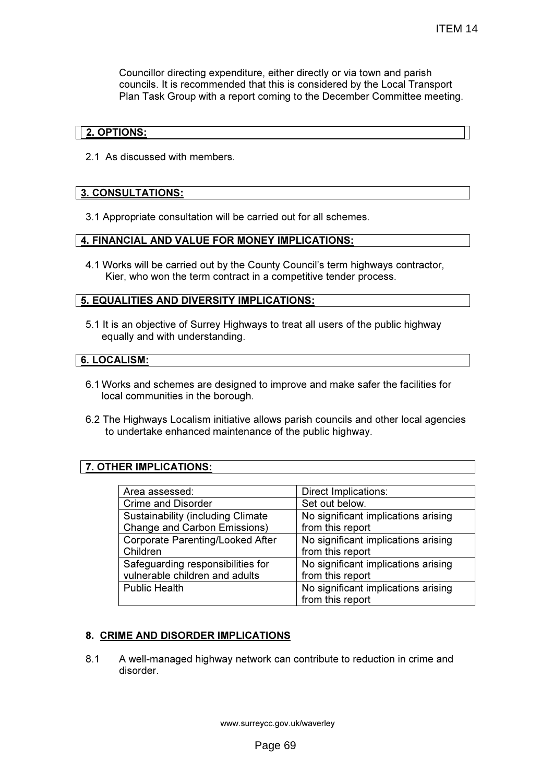Councillor directing expenditure, either directly or via town and parish councils. It is recommended that this is considered by the Local Transport Plan Task Group with a report coming to the December Committee meeting.

## 2. OPTIONS:

2.1 As discussed with members.

## 3. CONSULTATIONS:

3.1 Appropriate consultation will be carried out for all schemes.

## 4. FINANCIAL AND VALUE FOR MONEY IMPLICATIONS:

4.1 Works will be carried out by the County Council's term highways contractor, Kier, who won the term contract in a competitive tender process.

#### 5. EQUALITIES AND DIVERSITY IMPLICATIONS:

5.1 It is an objective of Surrey Highways to treat all users of the public highway equally and with understanding.

#### 6. LOCALISM:

- 6.1 Works and schemes are designed to improve and make safer the facilities for local communities in the borough.
- 6.2 The Highways Localism initiative allows parish councils and other local agencies to undertake enhanced maintenance of the public highway.

# 7. OTHER IMPLICATIONS:

| Area assessed:                            | Direct Implications:                |
|-------------------------------------------|-------------------------------------|
| <b>Crime and Disorder</b>                 | Set out below.                      |
| <b>Sustainability (including Climate)</b> | No significant implications arising |
| <b>Change and Carbon Emissions)</b>       | from this report                    |
| <b>Corporate Parenting/Looked After</b>   | No significant implications arising |
| Children                                  | from this report                    |
| Safeguarding responsibilities for         | No significant implications arising |
| vulnerable children and adults            | from this report                    |
| <b>Public Health</b>                      | No significant implications arising |
|                                           | from this report                    |

#### 8. CRIME AND DISORDER IMPLICATIONS

8.1 A well-managed highway network can contribute to reduction in crime and disorder.